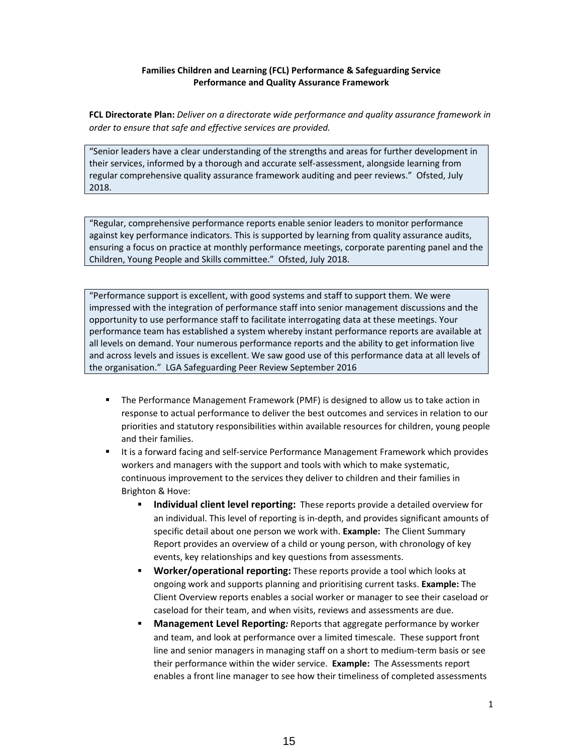#### **Families Children and Learning (FCL) Performance & Safeguarding Service Performance and Quality Assurance Framework**

**FCL Directorate Plan:** *Deliver on a directorate wide performance and quality assurance framework in order to ensure that safe and effective services are provided.* 

"Senior leaders have a clear understanding of the strengths and areas for further development in their services, informed by a thorough and accurate self‐assessment, alongside learning from regular comprehensive quality assurance framework auditing and peer reviews." Ofsted, July 2018.

"Regular, comprehensive performance reports enable senior leaders to monitor performance against key performance indicators. This is supported by learning from quality assurance audits, ensuring a focus on practice at monthly performance meetings, corporate parenting panel and the Children, Young People and Skills committee." Ofsted, July 2018.

"Performance support is excellent, with good systems and staff to support them. We were impressed with the integration of performance staff into senior management discussions and the opportunity to use performance staff to facilitate interrogating data at these meetings. Your performance team has established a system whereby instant performance reports are available at all levels on demand. Your numerous performance reports and the ability to get information live and across levels and issues is excellent. We saw good use of this performance data at all levels of the organisation." LGA Safeguarding Peer Review September 2016

- The Performance Management Framework (PMF) is designed to allow us to take action in response to actual performance to deliver the best outcomes and services in relation to our priorities and statutory responsibilities within available resources for children, young people and their families.
- It is a forward facing and self-service Performance Management Framework which provides workers and managers with the support and tools with which to make systematic, continuous improvement to the services they deliver to children and their families in Brighton & Hove:
	- **Individual client level reporting:** These reports provide a detailed overview for an individual. This level of reporting is in‐depth, and provides significant amounts of specific detail about one person we work with. **Example:** The Client Summary Report provides an overview of a child or young person, with chronology of key events, key relationships and key questions from assessments.
	- **Worker/operational reporting:** These reports provide a tool which looks at ongoing work and supports planning and prioritising current tasks. **Example:** The Client Overview reports enables a social worker or manager to see their caseload or caseload for their team, and when visits, reviews and assessments are due.
	- **Management Level Reporting***:* Reports that aggregate performance by worker and team, and look at performance over a limited timescale. These support front line and senior managers in managing staff on a short to medium‐term basis or see their performance within the wider service. **Example:** The Assessments report enables a front line manager to see how their timeliness of completed assessments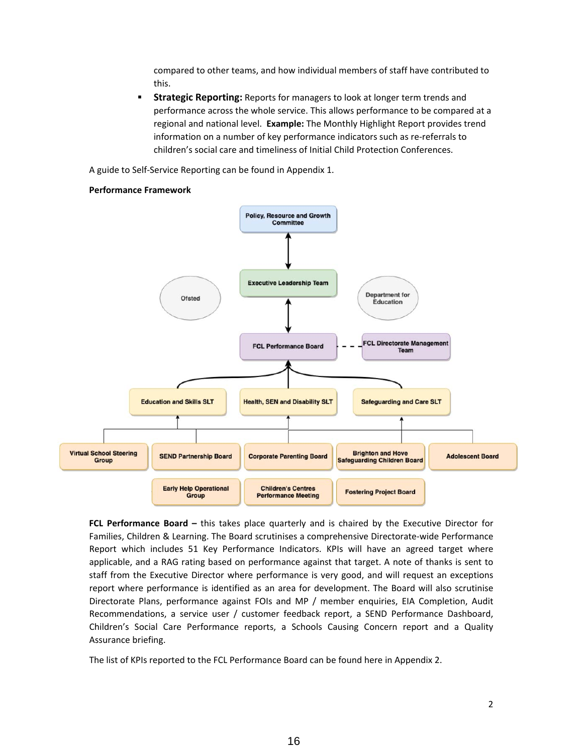compared to other teams, and how individual members of staff have contributed to this.

**Strategic Reporting:** Reports for managers to look at longer term trends and performance across the whole service. This allows performance to be compared at a regional and national level. **Example:** The Monthly Highlight Report provides trend information on a number of key performance indicators such as re‐referrals to children's social care and timeliness of Initial Child Protection Conferences.

A guide to Self‐Service Reporting can be found in Appendix 1.

#### **Performance Framework**



**FCL Performance Board –** this takes place quarterly and is chaired by the Executive Director for Families, Children & Learning. The Board scrutinises a comprehensive Directorate‐wide Performance Report which includes 51 Key Performance Indicators. KPIs will have an agreed target where applicable, and a RAG rating based on performance against that target. A note of thanks is sent to staff from the Executive Director where performance is very good, and will request an exceptions report where performance is identified as an area for development. The Board will also scrutinise Directorate Plans, performance against FOIs and MP / member enquiries, EIA Completion, Audit Recommendations, a service user / customer feedback report, a SEND Performance Dashboard, Children's Social Care Performance reports, a Schools Causing Concern report and a Quality Assurance briefing.

The list of KPIs reported to the FCL Performance Board can be found here in Appendix 2.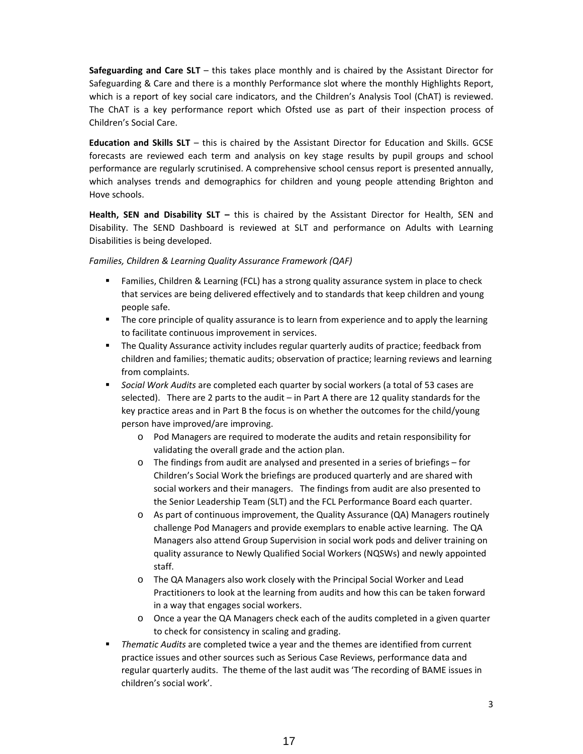**Safeguarding and Care SLT** – this takes place monthly and is chaired by the Assistant Director for Safeguarding & Care and there is a monthly Performance slot where the monthly Highlights Report, which is a report of key social care indicators, and the Children's Analysis Tool (ChAT) is reviewed. The ChAT is a key performance report which Ofsted use as part of their inspection process of Children's Social Care.

**Education and Skills SLT** – this is chaired by the Assistant Director for Education and Skills. GCSE forecasts are reviewed each term and analysis on key stage results by pupil groups and school performance are regularly scrutinised. A comprehensive school census report is presented annually, which analyses trends and demographics for children and young people attending Brighton and Hove schools.

**Health, SEN and Disability SLT –** this is chaired by the Assistant Director for Health, SEN and Disability. The SEND Dashboard is reviewed at SLT and performance on Adults with Learning Disabilities is being developed.

#### *Families, Children & Learning Quality Assurance Framework (QAF)*

- Families, Children & Learning (FCL) has a strong quality assurance system in place to check that services are being delivered effectively and to standards that keep children and young people safe.
- The core principle of quality assurance is to learn from experience and to apply the learning to facilitate continuous improvement in services.
- **The Quality Assurance activity includes regular quarterly audits of practice; feedback from** children and families; thematic audits; observation of practice; learning reviews and learning from complaints.
- *Social Work Audits* are completed each quarter by social workers (a total of 53 cases are selected). There are 2 parts to the audit – in Part A there are 12 quality standards for the key practice areas and in Part B the focus is on whether the outcomes for the child/young person have improved/are improving.
	- o Pod Managers are required to moderate the audits and retain responsibility for validating the overall grade and the action plan.
	- o The findings from audit are analysed and presented in a series of briefings for Children's Social Work the briefings are produced quarterly and are shared with social workers and their managers. The findings from audit are also presented to the Senior Leadership Team (SLT) and the FCL Performance Board each quarter.
	- $\circ$  As part of continuous improvement, the Quality Assurance (QA) Managers routinely challenge Pod Managers and provide exemplars to enable active learning. The QA Managers also attend Group Supervision in social work pods and deliver training on quality assurance to Newly Qualified Social Workers (NQSWs) and newly appointed staff.
	- o The QA Managers also work closely with the Principal Social Worker and Lead Practitioners to look at the learning from audits and how this can be taken forward in a way that engages social workers.
	- o Once a year the QA Managers check each of the audits completed in a given quarter to check for consistency in scaling and grading.
- *Thematic Audits* are completed twice a year and the themes are identified from current practice issues and other sources such as Serious Case Reviews, performance data and regular quarterly audits. The theme of the last audit was 'The recording of BAME issues in children's social work'.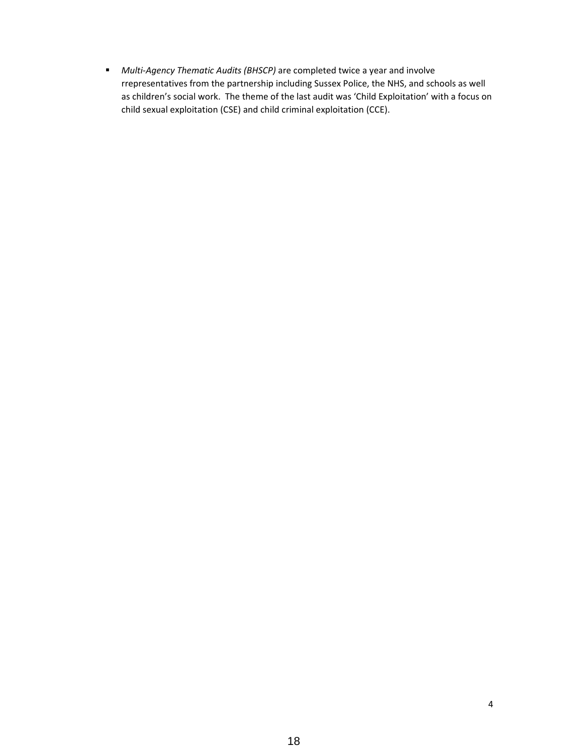■ *Multi-Agency Thematic Audits (BHSCP)* are completed twice a year and involve rrepresentatives from the partnership including Sussex Police, the NHS, and schools as well as children's social work. The theme of the last audit was 'Child Exploitation' with a focus on child sexual exploitation (CSE) and child criminal exploitation (CCE).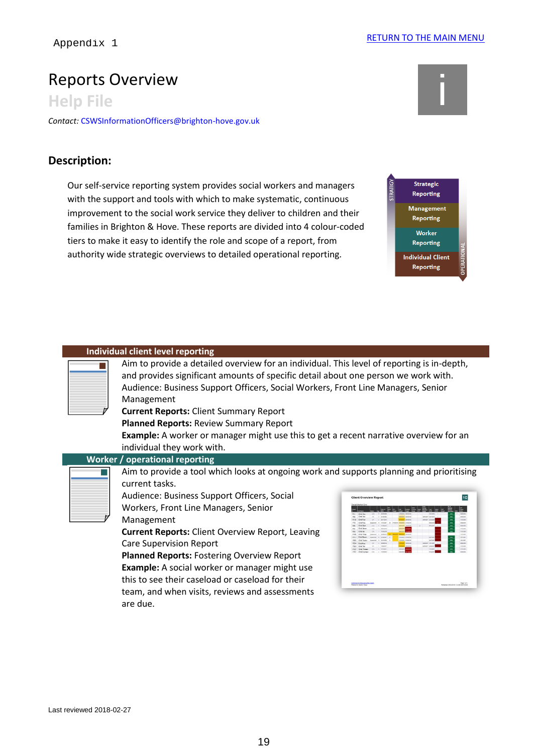# Reports Overview<br>Help File in the internal internal internal internal internal internal internal internal internal internal in<br>All internal internal internal internal internal internal internal internal internal internal i

# **Description:**



| Appendix 1              |                                                                                                                                                                                                                                                                                                                                                                                                                                                                                                                                                                        | <b>INCLUININ TU THE IVIAIIN IVILINU</b>                                                                                                                                                           |
|-------------------------|------------------------------------------------------------------------------------------------------------------------------------------------------------------------------------------------------------------------------------------------------------------------------------------------------------------------------------------------------------------------------------------------------------------------------------------------------------------------------------------------------------------------------------------------------------------------|---------------------------------------------------------------------------------------------------------------------------------------------------------------------------------------------------|
| <b>Help File</b>        | Reports Overview                                                                                                                                                                                                                                                                                                                                                                                                                                                                                                                                                       |                                                                                                                                                                                                   |
|                         | ontact: CSWSInformationOfficers@brighton-hove.gov.uk                                                                                                                                                                                                                                                                                                                                                                                                                                                                                                                   |                                                                                                                                                                                                   |
| escription:             |                                                                                                                                                                                                                                                                                                                                                                                                                                                                                                                                                                        |                                                                                                                                                                                                   |
|                         | Our self-service reporting system provides social workers and managers<br>with the support and tools with which to make systematic, continuous<br>improvement to the social work service they deliver to children and their<br>families in Brighton & Hove. These reports are divided into 4 colour-coded<br>tiers to make it easy to identify the role and scope of a report, from<br>authority wide strategic overviews to detailed operational reporting.                                                                                                           | <b>STRATIGY</b><br><b>Strategic</b><br><b>Reporting</b><br><b>Management</b><br>Reporting<br><b>Worker</b><br><b>Reporting</b><br><b>OPERATIO</b><br><b>Individual Client</b><br><b>Reporting</b> |
|                         | Individual client level reporting<br>Aim to provide a detailed overview for an individual. This level of reporting is in-depth,<br>and provides significant amounts of specific detail about one person we work with.<br>Audience: Business Support Officers, Social Workers, Front Line Managers, Senior<br>Management<br><b>Current Reports: Client Summary Report</b><br>Planned Reports: Review Summary Report<br><b>Example:</b> A worker or manager might use this to get a recent narrative overview for an<br>individual they work with.                       |                                                                                                                                                                                                   |
|                         | <b>Worker / operational reporting</b><br>Aim to provide a tool which looks at ongoing work and supports planning and prioritising<br>current tasks.<br>Audience: Business Support Officers, Social<br>Workers, Front Line Managers, Senior<br>Management<br><b>Current Reports: Client Overview Report, Leaving</b><br><b>Care Supervision Report</b><br>Planned Reports: Fostering Overview Report<br>Example: A social worker or manager might use<br>this to see their caseload or caseload for their<br>team, and when visits, reviews and assessments<br>are due. | 1C<br><b>Client Overview Rep</b><br>Click here for help semp fire report                                                                                                                          |
| ast reviewed 2018-02-27 |                                                                                                                                                                                                                                                                                                                                                                                                                                                                                                                                                                        |                                                                                                                                                                                                   |
|                         | 19                                                                                                                                                                                                                                                                                                                                                                                                                                                                                                                                                                     |                                                                                                                                                                                                   |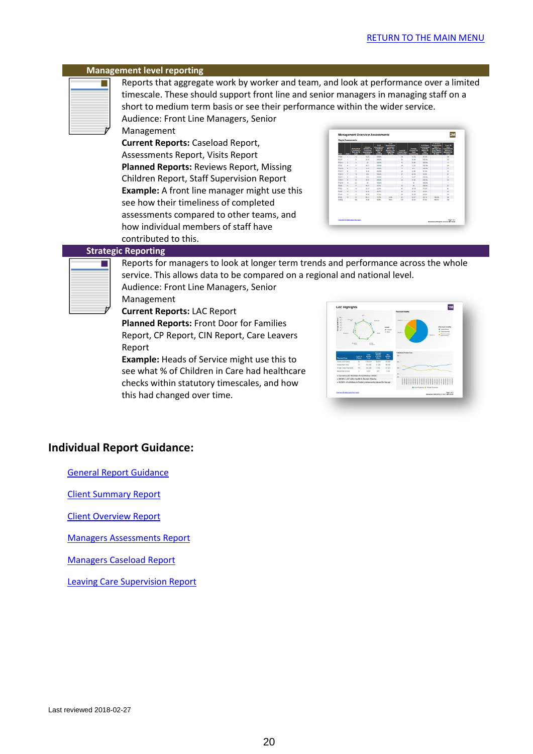#### **Management level reporting**

Reports that aggregate work by worker and team, and look at performance over a limited timescale. These should support front line and senior managers in managing staff on a short to medium term basis or see their performance within the wider service.

Audience: Front Line Managers, Senior Management

**Current Reports:** Caseload Report, Assessments Report, Visits Report **Planned Reports:** Reviews Report, Missing Children Report, Staff Supervision Report **Example:** A front line manager might use this see how their timeliness of completed assessments compared to other teams, and how individual members of staff have contributed to this.

| 45 Days | Assessments<br>$\mathbf{M}$<br>z<br>u<br>24<br>$\epsilon$ | Assessments<br>14.79<br>26.89<br>22.85<br>12.25 | <b>OWNER</b><br>62.2%<br>\$30.0%<br>120.0%<br>130.0% | 45 Days                                             | <b>Target</b><br>M.<br>$\overline{22}$ |
|---------|-----------------------------------------------------------|-------------------------------------------------|------------------------------------------------------|-----------------------------------------------------|----------------------------------------|
|         |                                                           |                                                 |                                                      |                                                     |                                        |
|         |                                                           |                                                 |                                                      |                                                     |                                        |
|         |                                                           |                                                 |                                                      |                                                     | <b>KA</b>                              |
|         |                                                           |                                                 |                                                      |                                                     | 24                                     |
|         |                                                           | 222                                             | <b>STATISTICS</b>                                    |                                                     | ×.                                     |
|         | $\overline{z}$                                            | 33.95                                           | \$1.9%                                               |                                                     | zs.                                    |
|         | $\overline{1}$                                            | 29.43                                           | \$3.5%                                               |                                                     | 'n                                     |
|         | ٠                                                         | 14.67                                           | \$30.0%                                              |                                                     | 4                                      |
|         | $^{24}$                                                   | 21.82                                           | \$30.0%                                              |                                                     | $\overline{\mathbf{34}}$               |
|         |                                                           |                                                 |                                                      |                                                     | ×                                      |
|         | $\mathbf{M}$                                              | $\mathcal{R}$                                   | 530.0%                                               |                                                     | $\overline{1}$                         |
|         | m                                                         | 36.73                                           | 73.2%                                                |                                                     | $\blacksquare$                         |
|         |                                                           |                                                 |                                                      |                                                     | 34                                     |
|         |                                                           |                                                 |                                                      |                                                     | ×                                      |
|         |                                                           |                                                 |                                                      |                                                     | di.                                    |
|         |                                                           |                                                 |                                                      |                                                     | 164                                    |
|         | 4.9%<br>o.en.                                             | $\epsilon$<br>24<br>$^{*}$<br>$\sigma$<br>365   | 1b<br>27.79<br>34.69<br>MQ<br>36.35                  | 130.0%<br>55.8%<br><b>FO. F/A</b><br>66.1%<br>11.0% | 130.0%<br>133.0%                       |

### **Strategic Reporting**

Reports for managers to look at longer term trends and performance across the whole service. This allows data to be compared on a regional and national level.

Audience: Front Line Managers, Senior Management

**Current Reports:** LAC Report

**Planned Reports:** Front Door for Families Report, CP Report, CIN Report, Care Leavers Report

**Example:** Heads of Service might use this to see what % of Children in Care had healthcare checks within statutory timescales, and how this had changed over time.



# **Individual Report Guidance:**

[General Report Guidance](file://///wave.brighton-hove.gov.uk/DavWWWRoot/sites/BHCC/cypt/qp/pd/Guidance%20%20New/06%20Reports/1I%20Using%20reports%20in%20CareFirst.pdf)

[Client Summary Report](file://///wave.brighton-hove.gov.uk/DavWWWRoot/sites/BHCC/cypt/qp/pd/Guidance%20%20New/06%20Reports/1S%20Client%20Summary%20Report.pdf)

[Client Overview Report](file://///wave.brighton-hove.gov.uk/DavWWWRoot/sites/BHCC/cypt/qp/pd/Guidance%20%20New/06%20Reports/I%20How%20to%20access%20the%20Client%20Overview%20Report.pdf)

Managers [Assessments Report](file://///wave.brighton-hove.gov.uk/DavWWWRoot/sites/BHCC/cypt/qp/pd/Guidance%20%20New/06%20Reports/3M%20Management%20Overview%20(Assessments).pdf)

[Managers Caseload Report](file://///wave.brighton-hove.gov.uk/DavWWWRoot/sites/BHCC/cypt/qp/pd/Guidance%20%20New/06%20Reports/2M%20Management%20Overview%20(Caseload).pdf)

[Leaving Care Supervision Report](file://///wave.brighton-hove.gov.uk/DavWWWRoot/sites/BHCC/cypt/qp/pd/Guidance%20%20New/06%20Reports/I%20How%20to%20access%20the%20Leaving%20Care%20Supervision%20Report.pdf)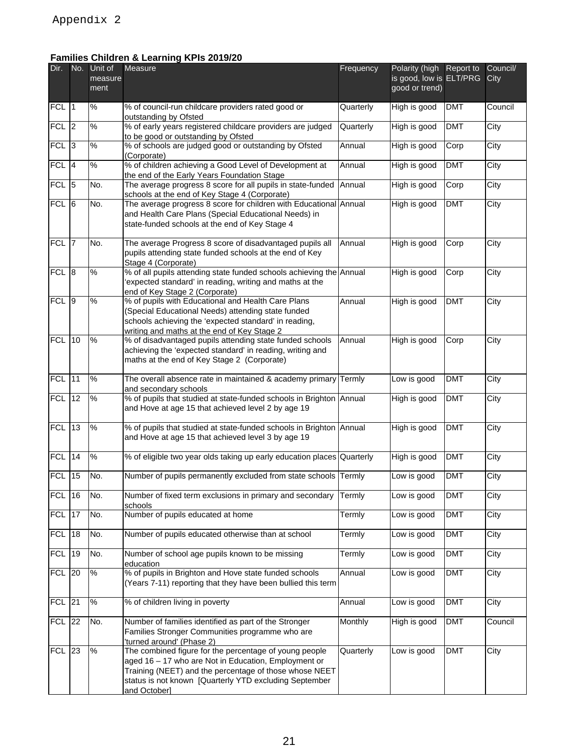# **Families Children & Learning KPIs 2019/20**

| Dir.             |                 | No. Unit of<br>measure<br>ment | <b>Families Children &amp; Learning KPIs 2019/20</b><br>Measure                                                                                                                                                                                    | Frequency | Polarity (high<br>is good, low is ELT/PRG<br>good or trend) | Report to  | Council/<br>City  |
|------------------|-----------------|--------------------------------|----------------------------------------------------------------------------------------------------------------------------------------------------------------------------------------------------------------------------------------------------|-----------|-------------------------------------------------------------|------------|-------------------|
| FCL 1            |                 | %                              | % of council-run childcare providers rated good or<br>outstanding by Ofsted                                                                                                                                                                        | Quarterly | High is good                                                | <b>DMT</b> | Council           |
| $FCL$ 2          |                 | $\%$                           | % of early years registered childcare providers are judged<br>to be good or outstanding by Ofsted                                                                                                                                                  | Quarterly | High is good                                                | <b>DMT</b> | City              |
| $FCL$ 3          |                 | %                              | % of schools are judged good or outstanding by Ofsted<br>(Corporate)                                                                                                                                                                               | Annual    | High is good                                                | Corp       | $\overline{City}$ |
| FCL <sup>4</sup> |                 | %                              | % of children achieving a Good Level of Development at<br>the end of the Early Years Foundation Stage                                                                                                                                              | Annual    | High is good                                                | <b>DMT</b> | City              |
| <b>FCL</b>       | 5               | No.                            | The average progress 8 score for all pupils in state-funded<br>schools at the end of Key Stage 4 (Corporate)                                                                                                                                       | Annual    | High is good                                                | Corp       | City              |
| $FCL$ 6          |                 | No.                            | The average progress 8 score for children with Educational Annual<br>and Health Care Plans (Special Educational Needs) in<br>state-funded schools at the end of Key Stage 4                                                                        |           | High is good                                                | <b>DMT</b> | City              |
| FCL 7            |                 | No.                            | The average Progress 8 score of disadvantaged pupils all<br>pupils attending state funded schools at the end of Key<br>Stage 4 (Corporate)                                                                                                         | Annual    | High is good                                                | Corp       | City              |
| FCL 8            |                 | %                              | % of all pupils attending state funded schools achieving the Annual<br>expected standard' in reading, writing and maths at the<br>end of Key Stage 2 (Corporate)                                                                                   |           | High is good                                                | Corp       | City              |
| FCL 9            |                 | %                              | % of pupils with Educational and Health Care Plans<br>(Special Educational Needs) attending state funded<br>schools achieving the 'expected standard' in reading,<br>writing and maths at the end of Key Stage 2                                   | Annual    | High is good                                                | <b>DMT</b> | City              |
| <b>FCL 10</b>    |                 | %                              | % of disadvantaged pupils attending state funded schools<br>achieving the 'expected standard' in reading, writing and<br>maths at the end of Key Stage 2 (Corporate)                                                                               | Annual    | High is good                                                | Corp       | City              |
| <b>FCL</b>       | 11              | %                              | The overall absence rate in maintained & academy primary<br>and secondary schools                                                                                                                                                                  | Termly    | Low is good                                                 | <b>DMT</b> | City              |
| $FCL$ 12         |                 | %                              | % of pupils that studied at state-funded schools in Brighton Annual<br>and Hove at age 15 that achieved level 2 by age 19                                                                                                                          |           | High is good                                                | <b>DMT</b> | City              |
| <b>FCL 13</b>    |                 | %                              | % of pupils that studied at state-funded schools in Brighton Annual<br>and Hove at age 15 that achieved level 3 by age 19                                                                                                                          |           | High is good                                                | <b>DMT</b> | City              |
| <b>FCL 14</b>    |                 | %                              | % of eligible two year olds taking up early education places                                                                                                                                                                                       | Quarterly | High is good                                                | <b>DMT</b> | City              |
| <b>FCL</b>       | $\overline{15}$ | No.                            | Number of pupils permanently excluded from state schools                                                                                                                                                                                           | Termly    | Low is good                                                 | <b>DMT</b> | City              |
| <b>FCL</b>       | 16              | No.                            | Number of fixed term exclusions in primary and secondary<br>schools                                                                                                                                                                                | Termly    | Low is good                                                 | <b>DMT</b> | City              |
| FCL 17           |                 | No.                            | Number of pupils educated at home                                                                                                                                                                                                                  | Termly    | Low is good                                                 | <b>DMT</b> | City              |
| <b>FCL</b>       | 18              | No.                            | Number of pupils educated otherwise than at school                                                                                                                                                                                                 | Termly    | Low is good                                                 | <b>DMT</b> | City              |
| <b>FCL</b>       | 19              | No.                            | Number of school age pupils known to be missing                                                                                                                                                                                                    | Termly    | Low is good                                                 | <b>DMT</b> | City              |
| <b>FCL</b>       | 20              | %                              | education<br>% of pupils in Brighton and Hove state funded schools<br>(Years 7-11) reporting that they have been bullied this term                                                                                                                 | Annual    | Low is good                                                 | <b>DMT</b> | City              |
| <b>FCL</b>       | 21              | %                              | % of children living in poverty                                                                                                                                                                                                                    | Annual    | Low is good                                                 | <b>DMT</b> | City              |
| <b>FCL 22</b>    |                 | No.                            | Number of families identified as part of the Stronger<br>Families Stronger Communities programme who are<br>'turned around' (Phase 2)                                                                                                              | Monthly   | High is good                                                | <b>DMT</b> | Council           |
| <b>FCL 23</b>    |                 | %                              | The combined figure for the percentage of young people<br>aged 16 - 17 who are Not in Education, Employment or<br>Training (NEET) and the percentage of those whose NEET<br>status is not known [Quarterly YTD excluding September<br>and October] | Quarterly | Low is good                                                 | <b>DMT</b> | City              |